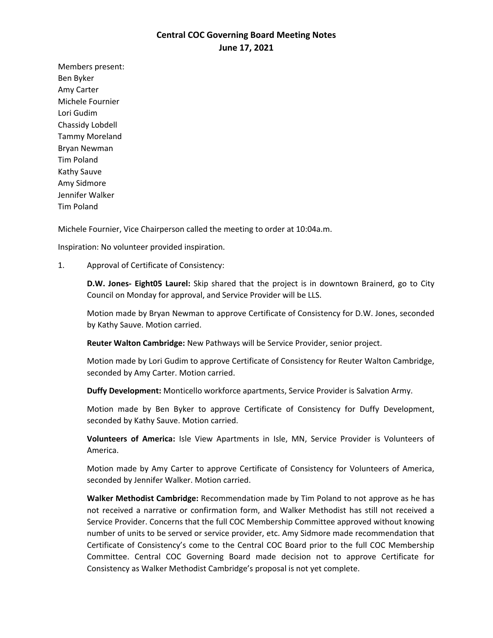## **Central COC Governing Board Meeting Notes June 17, 2021**

Members present: Ben Byker Amy Carter Michele Fournier Lori Gudim Chassidy Lobdell Tammy Moreland Bryan Newman Tim Poland Kathy Sauve Amy Sidmore Jennifer Walker Tim Poland

Michele Fournier, Vice Chairperson called the meeting to order at 10:04a.m.

Inspiration: No volunteer provided inspiration.

1. Approval of Certificate of Consistency:

**D.W. Jones- Eight05 Laurel:** Skip shared that the project is in downtown Brainerd, go to City Council on Monday for approval, and Service Provider will be LLS.

Motion made by Bryan Newman to approve Certificate of Consistency for D.W. Jones, seconded by Kathy Sauve. Motion carried.

**Reuter Walton Cambridge:** New Pathways will be Service Provider, senior project.

Motion made by Lori Gudim to approve Certificate of Consistency for Reuter Walton Cambridge, seconded by Amy Carter. Motion carried.

**Duffy Development:** Monticello workforce apartments, Service Provider is Salvation Army.

Motion made by Ben Byker to approve Certificate of Consistency for Duffy Development, seconded by Kathy Sauve. Motion carried.

**Volunteers of America:** Isle View Apartments in Isle, MN, Service Provider is Volunteers of America.

Motion made by Amy Carter to approve Certificate of Consistency for Volunteers of America, seconded by Jennifer Walker. Motion carried.

**Walker Methodist Cambridge:** Recommendation made by Tim Poland to not approve as he has not received a narrative or confirmation form, and Walker Methodist has still not received a Service Provider. Concerns that the full COC Membership Committee approved without knowing number of units to be served or service provider, etc. Amy Sidmore made recommendation that Certificate of Consistency's come to the Central COC Board prior to the full COC Membership Committee. Central COC Governing Board made decision not to approve Certificate for Consistency as Walker Methodist Cambridge's proposal is not yet complete.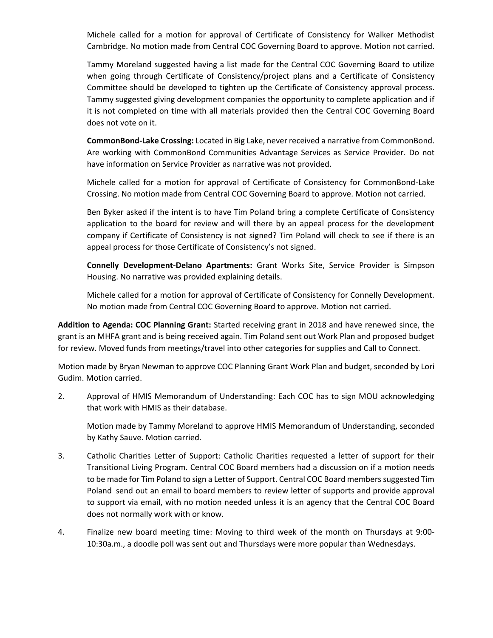Michele called for a motion for approval of Certificate of Consistency for Walker Methodist Cambridge. No motion made from Central COC Governing Board to approve. Motion not carried.

Tammy Moreland suggested having a list made for the Central COC Governing Board to utilize when going through Certificate of Consistency/project plans and a Certificate of Consistency Committee should be developed to tighten up the Certificate of Consistency approval process. Tammy suggested giving development companies the opportunity to complete application and if it is not completed on time with all materials provided then the Central COC Governing Board does not vote on it.

**CommonBond-Lake Crossing:** Located in Big Lake, never received a narrative from CommonBond. Are working with CommonBond Communities Advantage Services as Service Provider. Do not have information on Service Provider as narrative was not provided.

Michele called for a motion for approval of Certificate of Consistency for CommonBond-Lake Crossing. No motion made from Central COC Governing Board to approve. Motion not carried.

Ben Byker asked if the intent is to have Tim Poland bring a complete Certificate of Consistency application to the board for review and will there by an appeal process for the development company if Certificate of Consistency is not signed? Tim Poland will check to see if there is an appeal process for those Certificate of Consistency's not signed.

**Connelly Development-Delano Apartments:** Grant Works Site, Service Provider is Simpson Housing. No narrative was provided explaining details.

Michele called for a motion for approval of Certificate of Consistency for Connelly Development. No motion made from Central COC Governing Board to approve. Motion not carried.

**Addition to Agenda: COC Planning Grant:** Started receiving grant in 2018 and have renewed since, the grant is an MHFA grant and is being received again. Tim Poland sent out Work Plan and proposed budget for review. Moved funds from meetings/travel into other categories for supplies and Call to Connect.

Motion made by Bryan Newman to approve COC Planning Grant Work Plan and budget, seconded by Lori Gudim. Motion carried.

2. Approval of HMIS Memorandum of Understanding: Each COC has to sign MOU acknowledging that work with HMIS as their database.

Motion made by Tammy Moreland to approve HMIS Memorandum of Understanding, seconded by Kathy Sauve. Motion carried.

- 3. Catholic Charities Letter of Support: Catholic Charities requested a letter of support for their Transitional Living Program. Central COC Board members had a discussion on if a motion needs to be made for Tim Poland to sign a Letter of Support. Central COC Board members suggested Tim Poland send out an email to board members to review letter of supports and provide approval to support via email, with no motion needed unless it is an agency that the Central COC Board does not normally work with or know.
- 4. Finalize new board meeting time: Moving to third week of the month on Thursdays at 9:00- 10:30a.m., a doodle poll was sent out and Thursdays were more popular than Wednesdays.